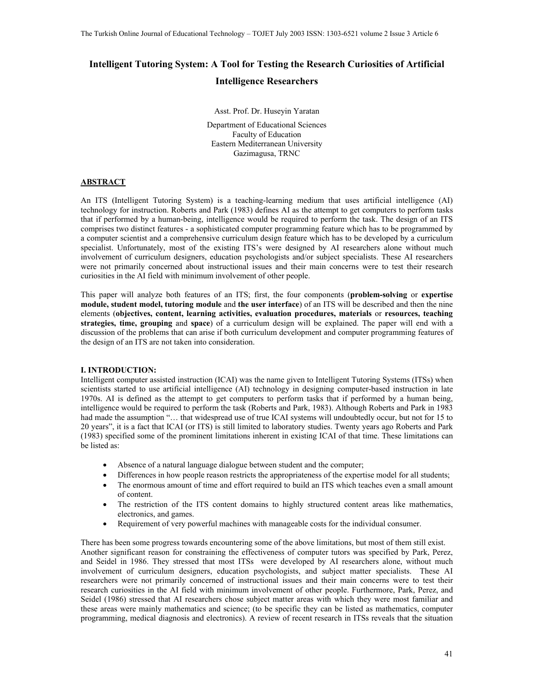# **Intelligent Tutoring System: A Tool for Testing the Research Curiosities of Artificial Intelligence Researchers**

Asst. Prof. Dr. Huseyin Yaratan

Department of Educational Sciences Faculty of Education Eastern Mediterranean University Gazimagusa, TRNC

# **ABSTRACT**

An ITS (Intelligent Tutoring System) is a teaching-learning medium that uses artificial intelligence (AI) technology for instruction. Roberts and Park (1983) defines AI as the attempt to get computers to perform tasks that if performed by a human-being, intelligence would be required to perform the task. The design of an ITS comprises two distinct features - a sophisticated computer programming feature which has to be programmed by a computer scientist and a comprehensive curriculum design feature which has to be developed by a curriculum specialist. Unfortunately, most of the existing ITS's were designed by AI researchers alone without much involvement of curriculum designers, education psychologists and/or subject specialists. These AI researchers were not primarily concerned about instructional issues and their main concerns were to test their research curiosities in the AI field with minimum involvement of other people.

This paper will analyze both features of an ITS; first, the four components (**problem-solving** or **expertise module, student model, tutoring module** and **the user interface**) of an ITS will be described and then the nine elements (**objectives, content, learning activities, evaluation procedures, materials** or **resources, teaching strategies, time, grouping** and **space**) of a curriculum design will be explained. The paper will end with a discussion of the problems that can arise if both curriculum development and computer programming features of the design of an ITS are not taken into consideration.

# **I. INTRODUCTION:**

Intelligent computer assisted instruction (ICAI) was the name given to Intelligent Tutoring Systems (ITSs) when scientists started to use artificial intelligence (AI) technology in designing computer-based instruction in late 1970s. AI is defined as the attempt to get computers to perform tasks that if performed by a human being, intelligence would be required to perform the task (Roberts and Park, 1983). Although Roberts and Park in 1983 had made the assumption "... that widespread use of true ICAI systems will undoubtedly occur, but not for 15 to 20 years", it is a fact that ICAI (or ITS) is still limited to laboratory studies. Twenty years ago Roberts and Park (1983) specified some of the prominent limitations inherent in existing ICAI of that time. These limitations can be listed as:

- Absence of a natural language dialogue between student and the computer;
- Differences in how people reason restricts the appropriateness of the expertise model for all students;
- The enormous amount of time and effort required to build an ITS which teaches even a small amount of content.
- The restriction of the ITS content domains to highly structured content areas like mathematics, electronics, and games.
- Requirement of very powerful machines with manageable costs for the individual consumer.

There has been some progress towards encountering some of the above limitations, but most of them still exist. Another significant reason for constraining the effectiveness of computer tutors was specified by Park, Perez, and Seidel in 1986. They stressed that most ITSs were developed by AI researchers alone, without much involvement of curriculum designers, education psychologists, and subject matter specialists. These AI researchers were not primarily concerned of instructional issues and their main concerns were to test their research curiosities in the AI field with minimum involvement of other people. Furthermore, Park, Perez, and Seidel (1986) stressed that AI researchers chose subject matter areas with which they were most familiar and these areas were mainly mathematics and science; (to be specific they can be listed as mathematics, computer programming, medical diagnosis and electronics). A review of recent research in ITSs reveals that the situation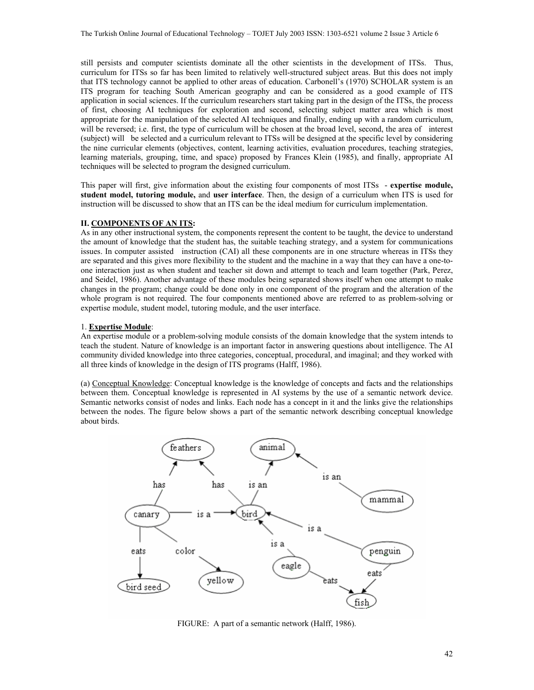still persists and computer scientists dominate all the other scientists in the development of ITSs. Thus, curriculum for ITSs so far has been limited to relatively well-structured subject areas. But this does not imply that ITS technology cannot be applied to other areas of education. Carbonell's (1970) SCHOLAR system is an ITS program for teaching South American geography and can be considered as a good example of ITS application in social sciences. If the curriculum researchers start taking part in the design of the ITSs, the process of first, choosing AI techniques for exploration and second, selecting subject matter area which is most appropriate for the manipulation of the selected AI techniques and finally, ending up with a random curriculum, will be reversed; i.e. first, the type of curriculum will be chosen at the broad level, second, the area of interest (subject) will be selected and a curriculum relevant to ITSs will be designed at the specific level by considering the nine curricular elements (objectives, content, learning activities, evaluation procedures, teaching strategies, learning materials, grouping, time, and space) proposed by Frances Klein (1985), and finally, appropriate AI techniques will be selected to program the designed curriculum.

This paper will first, give information about the existing four components of most ITSs - **expertise module, student model, tutoring module,** and **user interface**. Then, the design of a curriculum when ITS is used for instruction will be discussed to show that an ITS can be the ideal medium for curriculum implementation.

# **II. COMPONENTS OF AN ITS:**

As in any other instructional system, the components represent the content to be taught, the device to understand the amount of knowledge that the student has, the suitable teaching strategy, and a system for communications issues. In computer assisted instruction (CAI) all these components are in one structure whereas in ITSs they are separated and this gives more flexibility to the student and the machine in a way that they can have a one-toone interaction just as when student and teacher sit down and attempt to teach and learn together (Park, Perez, and Seidel, 1986). Another advantage of these modules being separated shows itself when one attempt to make changes in the program; change could be done only in one component of the program and the alteration of the whole program is not required. The four components mentioned above are referred to as problem-solving or expertise module, student model, tutoring module, and the user interface.

# 1. **Expertise Module**:

An expertise module or a problem-solving module consists of the domain knowledge that the system intends to teach the student. Nature of knowledge is an important factor in answering questions about intelligence. The AI community divided knowledge into three categories, conceptual, procedural, and imaginal; and they worked with all three kinds of knowledge in the design of ITS programs (Halff, 1986).

(a) Conceptual Knowledge: Conceptual knowledge is the knowledge of concepts and facts and the relationships between them. Conceptual knowledge is represented in AI systems by the use of a semantic network device. Semantic networks consist of nodes and links. Each node has a concept in it and the links give the relationships between the nodes. The figure below shows a part of the semantic network describing conceptual knowledge about birds.



FIGURE: A part of a semantic network (Halff, 1986).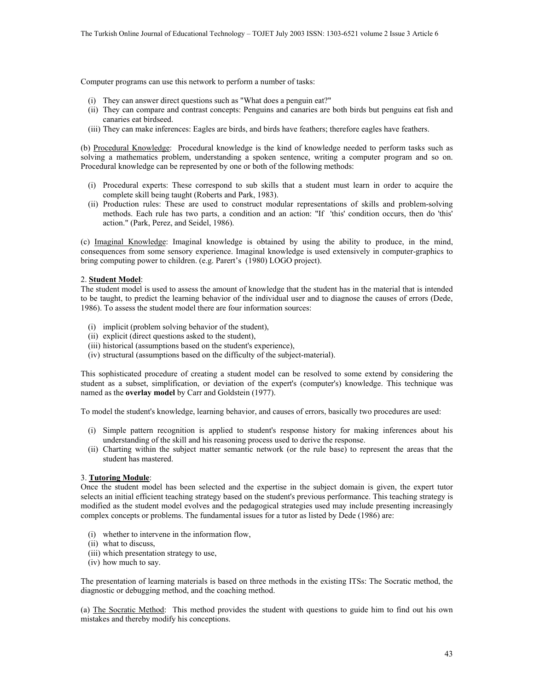Computer programs can use this network to perform a number of tasks:

- (i) They can answer direct questions such as "What does a penguin eat?"
- (ii) They can compare and contrast concepts: Penguins and canaries are both birds but penguins eat fish and canaries eat birdseed.
- (iii) They can make inferences: Eagles are birds, and birds have feathers; therefore eagles have feathers.

(b) Procedural Knowledge: Procedural knowledge is the kind of knowledge needed to perform tasks such as solving a mathematics problem, understanding a spoken sentence, writing a computer program and so on. Procedural knowledge can be represented by one or both of the following methods:

- (i) Procedural experts: These correspond to sub skills that a student must learn in order to acquire the complete skill being taught (Roberts and Park, 1983).
- (ii) Production rules: These are used to construct modular representations of skills and problem-solving methods. Each rule has two parts, a condition and an action: "If 'this' condition occurs, then do 'this' action." (Park, Perez, and Seidel, 1986).

(c) Imaginal Knowledge: Imaginal knowledge is obtained by using the ability to produce, in the mind, consequences from some sensory experience. Imaginal knowledge is used extensively in computer-graphics to bring computing power to children. (e.g. Parert's (1980) LOGO project).

#### 2. **Student Model**:

The student model is used to assess the amount of knowledge that the student has in the material that is intended to be taught, to predict the learning behavior of the individual user and to diagnose the causes of errors (Dede, 1986). To assess the student model there are four information sources:

- (i) implicit (problem solving behavior of the student),
- (ii) explicit (direct questions asked to the student),
- (iii) historical (assumptions based on the student's experience),
- (iv) structural (assumptions based on the difficulty of the subject-material).

This sophisticated procedure of creating a student model can be resolved to some extend by considering the student as a subset, simplification, or deviation of the expert's (computer's) knowledge. This technique was named as the **overlay model** by Carr and Goldstein (1977).

To model the student's knowledge, learning behavior, and causes of errors, basically two procedures are used:

- (i) Simple pattern recognition is applied to student's response history for making inferences about his understanding of the skill and his reasoning process used to derive the response.
- (ii) Charting within the subject matter semantic network (or the rule base) to represent the areas that the student has mastered.

#### 3. **Tutoring Module**:

Once the student model has been selected and the expertise in the subject domain is given, the expert tutor selects an initial efficient teaching strategy based on the student's previous performance. This teaching strategy is modified as the student model evolves and the pedagogical strategies used may include presenting increasingly complex concepts or problems. The fundamental issues for a tutor as listed by Dede (1986) are:

- (i) whether to intervene in the information flow,
- (ii) what to discuss,
- (iii) which presentation strategy to use,
- (iv) how much to say.

The presentation of learning materials is based on three methods in the existing ITSs: The Socratic method, the diagnostic or debugging method, and the coaching method.

(a) The Socratic Method: This method provides the student with questions to guide him to find out his own mistakes and thereby modify his conceptions.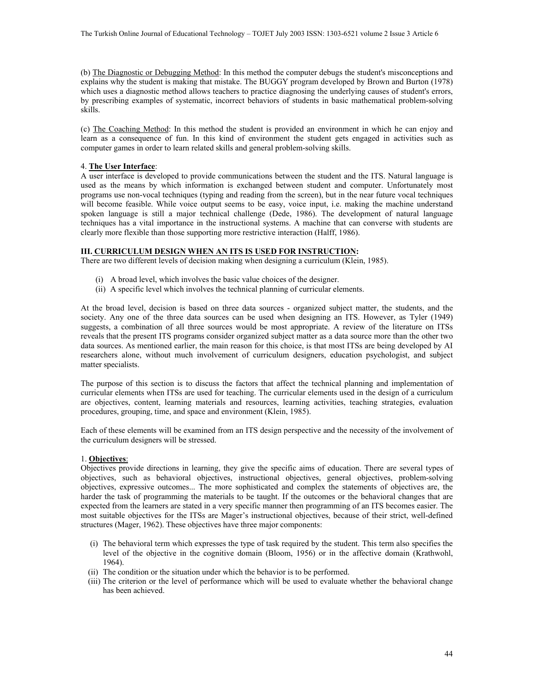(b) The Diagnostic or Debugging Method: In this method the computer debugs the student's misconceptions and explains why the student is making that mistake. The BUGGY program developed by Brown and Burton (1978) which uses a diagnostic method allows teachers to practice diagnosing the underlying causes of student's errors, by prescribing examples of systematic, incorrect behaviors of students in basic mathematical problem-solving skills.

(c) The Coaching Method: In this method the student is provided an environment in which he can enjoy and learn as a consequence of fun. In this kind of environment the student gets engaged in activities such as computer games in order to learn related skills and general problem-solving skills.

# 4. **The User Interface**:

A user interface is developed to provide communications between the student and the ITS. Natural language is used as the means by which information is exchanged between student and computer. Unfortunately most programs use non-vocal techniques (typing and reading from the screen), but in the near future vocal techniques will become feasible. While voice output seems to be easy, voice input, i.e. making the machine understand spoken language is still a major technical challenge (Dede, 1986). The development of natural language techniques has a vital importance in the instructional systems. A machine that can converse with students are clearly more flexible than those supporting more restrictive interaction (Halff, 1986).

# **III. CURRICULUM DESIGN WHEN AN ITS IS USED FOR INSTRUCTION:**

There are two different levels of decision making when designing a curriculum (Klein, 1985).

- (i) A broad level, which involves the basic value choices of the designer.
- (ii) A specific level which involves the technical planning of curricular elements.

At the broad level, decision is based on three data sources - organized subject matter, the students, and the society. Any one of the three data sources can be used when designing an ITS. However, as Tyler (1949) suggests, a combination of all three sources would be most appropriate. A review of the literature on ITSs reveals that the present ITS programs consider organized subject matter as a data source more than the other two data sources. As mentioned earlier, the main reason for this choice, is that most ITSs are being developed by AI researchers alone, without much involvement of curriculum designers, education psychologist, and subject matter specialists.

The purpose of this section is to discuss the factors that affect the technical planning and implementation of curricular elements when ITSs are used for teaching. The curricular elements used in the design of a curriculum are objectives, content, learning materials and resources, learning activities, teaching strategies, evaluation procedures, grouping, time, and space and environment (Klein, 1985).

Each of these elements will be examined from an ITS design perspective and the necessity of the involvement of the curriculum designers will be stressed.

# 1. **Objectives**:

Objectives provide directions in learning, they give the specific aims of education. There are several types of objectives, such as behavioral objectives, instructional objectives, general objectives, problem-solving objectives, expressive outcomes... The more sophisticated and complex the statements of objectives are, the harder the task of programming the materials to be taught. If the outcomes or the behavioral changes that are expected from the learners are stated in a very specific manner then programming of an ITS becomes easier. The most suitable objectives for the ITSs are Mager's instructional objectives, because of their strict, well-defined structures (Mager, 1962). These objectives have three major components:

- (i) The behavioral term which expresses the type of task required by the student. This term also specifies the level of the objective in the cognitive domain (Bloom, 1956) or in the affective domain (Krathwohl, 1964).
- (ii) The condition or the situation under which the behavior is to be performed.
- (iii) The criterion or the level of performance which will be used to evaluate whether the behavioral change has been achieved.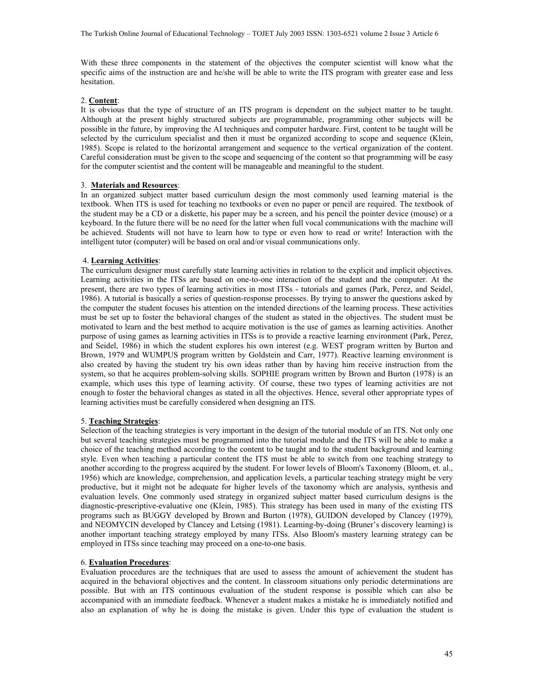With these three components in the statement of the objectives the computer scientist will know what the specific aims of the instruction are and he/she will be able to write the ITS program with greater ease and less hesitation.

## 2. **Content**:

It is obvious that the type of structure of an ITS program is dependent on the subject matter to be taught. Although at the present highly structured subjects are programmable, programming other subjects will be possible in the future, by improving the AI techniques and computer hardware. First, content to be taught will be selected by the curriculum specialist and then it must be organized according to scope and sequence (Klein, 1985). Scope is related to the horizontal arrangement and sequence to the vertical organization of the content. Careful consideration must be given to the scope and sequencing of the content so that programming will be easy for the computer scientist and the content will be manageable and meaningful to the student.

# 3. **Materials and Resources**:

In an organized subject matter based curriculum design the most commonly used learning material is the textbook. When ITS is used for teaching no textbooks or even no paper or pencil are required. The textbook of the student may be a CD or a diskette, his paper may be a screen, and his pencil the pointer device (mouse) or a keyboard. In the future there will be no need for the latter when full vocal communications with the machine will be achieved. Students will not have to learn how to type or even how to read or write! Interaction with the intelligent tutor (computer) will be based on oral and/or visual communications only.

# 4. **Learning Activities**:

The curriculum designer must carefully state learning activities in relation to the explicit and implicit objectives. Learning activities in the ITSs are based on one-to-one interaction of the student and the computer. At the present, there are two types of learning activities in most ITSs - tutorials and games (Park, Perez, and Seidel, 1986). A tutorial is basically a series of question-response processes. By trying to answer the questions asked by the computer the student focuses his attention on the intended directions of the learning process. These activities must be set up to foster the behavioral changes of the student as stated in the objectives. The student must be motivated to learn and the best method to acquire motivation is the use of games as learning activities. Another purpose of using games as learning activities in ITSs is to provide a reactive learning environment (Park, Perez, and Seidel, 1986) in which the student explores his own interest (e.g. WEST program written by Burton and Brown, 1979 and WUMPUS program written by Goldstein and Carr, 1977). Reactive learning environment is also created by having the student try his own ideas rather than by having him receive instruction from the system, so that he acquires problem-solving skills. SOPHIE program written by Brown and Burton (1978) is an example, which uses this type of learning activity. Of course, these two types of learning activities are not enough to foster the behavioral changes as stated in all the objectives. Hence, several other appropriate types of learning activities must be carefully considered when designing an ITS.

#### 5. **Teaching Strategies**:

Selection of the teaching strategies is very important in the design of the tutorial module of an ITS. Not only one but several teaching strategies must be programmed into the tutorial module and the ITS will be able to make a choice of the teaching method according to the content to be taught and to the student background and learning style. Even when teaching a particular content the ITS must be able to switch from one teaching strategy to another according to the progress acquired by the student. For lower levels of Bloom's Taxonomy (Bloom, et. al., 1956) which are knowledge, comprehension, and application levels, a particular teaching strategy might be very productive, but it might not be adequate for higher levels of the taxonomy which are analysis, synthesis and evaluation levels. One commonly used strategy in organized subject matter based curriculum designs is the diagnostic-prescriptive-evaluative one (Klein, 1985). This strategy has been used in many of the existing ITS programs such as BUGGY developed by Brown and Burton (1978), GUIDON developed by Clancey (1979), and NEOMYCIN developed by Clancey and Letsing (1981). Learning-by-doing (Bruner's discovery learning) is another important teaching strategy employed by many ITSs. Also Bloom's mastery learning strategy can be employed in ITSs since teaching may proceed on a one-to-one basis.

## 6. **Evaluation Procedures**:

Evaluation procedures are the techniques that are used to assess the amount of achievement the student has acquired in the behavioral objectives and the content. In classroom situations only periodic determinations are possible. But with an ITS continuous evaluation of the student response is possible which can also be accompanied with an immediate feedback. Whenever a student makes a mistake he is immediately notified and also an explanation of why he is doing the mistake is given. Under this type of evaluation the student is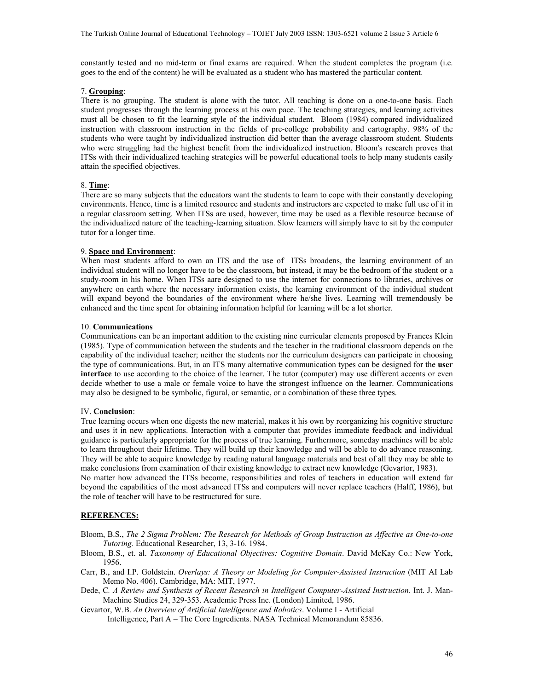constantly tested and no mid-term or final exams are required. When the student completes the program (i.e. goes to the end of the content) he will be evaluated as a student who has mastered the particular content.

## 7. **Grouping**:

There is no grouping. The student is alone with the tutor. All teaching is done on a one-to-one basis. Each student progresses through the learning process at his own pace. The teaching strategies, and learning activities must all be chosen to fit the learning style of the individual student. Bloom (1984) compared individualized instruction with classroom instruction in the fields of pre-college probability and cartography. 98% of the students who were taught by individualized instruction did better than the average classroom student. Students who were struggling had the highest benefit from the individualized instruction. Bloom's research proves that ITSs with their individualized teaching strategies will be powerful educational tools to help many students easily attain the specified objectives.

# 8. **Time**:

There are so many subjects that the educators want the students to learn to cope with their constantly developing environments. Hence, time is a limited resource and students and instructors are expected to make full use of it in a regular classroom setting. When ITSs are used, however, time may be used as a flexible resource because of the individualized nature of the teaching-learning situation. Slow learners will simply have to sit by the computer tutor for a longer time.

## 9. **Space and Environment**:

When most students afford to own an ITS and the use of ITSs broadens, the learning environment of an individual student will no longer have to be the classroom, but instead, it may be the bedroom of the student or a study-room in his home. When ITSs aare designed to use the internet for connections to libraries, archives or anywhere on earth where the necessary information exists, the learning environment of the individual student will expand beyond the boundaries of the environment where he/she lives. Learning will tremendously be enhanced and the time spent for obtaining information helpful for learning will be a lot shorter.

## 10. **Communications**

Communications can be an important addition to the existing nine curricular elements proposed by Frances Klein (1985). Type of communication between the students and the teacher in the traditional classroom depends on the capability of the individual teacher; neither the students nor the curriculum designers can participate in choosing the type of communications. But, in an ITS many alternative communication types can be designed for the **user interface** to use according to the choice of the learner. The tutor (computer) may use different accents or even decide whether to use a male or female voice to have the strongest influence on the learner. Communications may also be designed to be symbolic, figural, or semantic, or a combination of these three types.

# IV. **Conclusion**:

True learning occurs when one digests the new material, makes it his own by reorganizing his cognitive structure and uses it in new applications. Interaction with a computer that provides immediate feedback and individual guidance is particularly appropriate for the process of true learning. Furthermore, someday machines will be able to learn throughout their lifetime. They will build up their knowledge and will be able to do advance reasoning. They will be able to acquire knowledge by reading natural language materials and best of all they may be able to make conclusions from examination of their existing knowledge to extract new knowledge (Gevartor, 1983).

No matter how advanced the ITSs become, responsibilities and roles of teachers in education will extend far beyond the capabilities of the most advanced ITSs and computers will never replace teachers (Halff, 1986), but the role of teacher will have to be restructured for sure.

# **REFERENCES:**

Bloom, B.S., *The 2 Sigma Problem: The Research for Methods of Group Instruction as Affective as One-to-one Tutoring*. Educational Researcher, 13, 3-16. 1984.

- Bloom, B.S., et. al. *Taxonomy of Educational Objectives: Cognitive Domain*. David McKay Co.: New York, 1956.
- Carr, B., and I.P. Goldstein. *Overlays: A Theory or Modeling for Computer-Assisted Instruction* (MIT AI Lab Memo No. 406). Cambridge, MA: MIT, 1977.
- Dede, C*. A Review and Synthesis of Recent Research in Intelligent Computer-Assisted Instruction*. Int. J. Man-Machine Studies 24, 329-353. Academic Press Inc. (London) Limited, 1986.
- Gevartor, W.B. *An Overview of Artificial Intelligence and Robotics*. Volume I Artificial Intelligence, Part A – The Core Ingredients. NASA Technical Memorandum 85836.